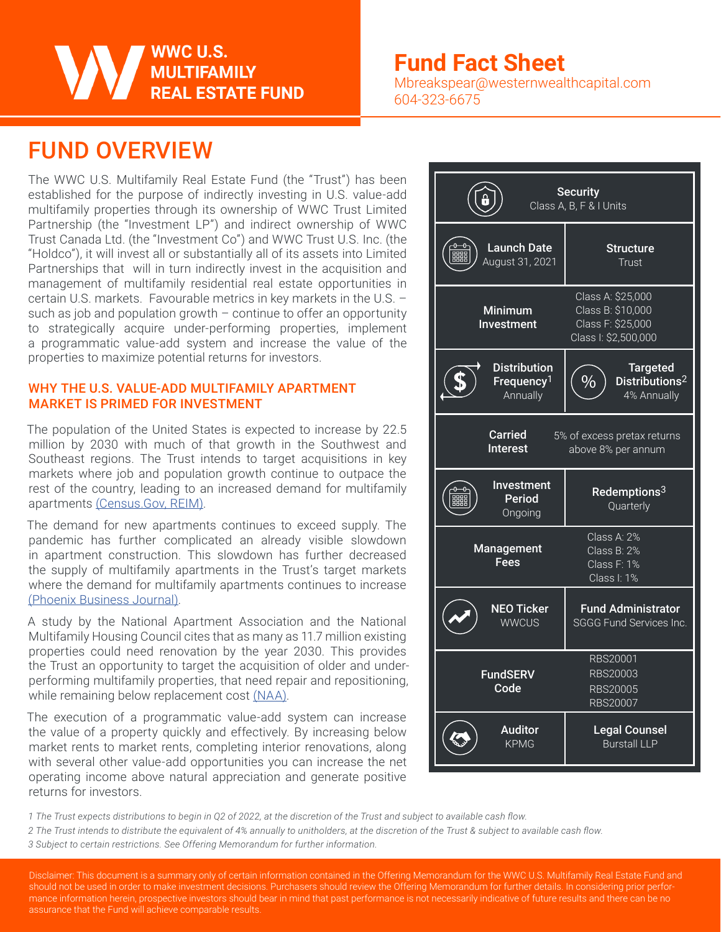#### WWC U.S. **MULTIFAMILY REAL ESTATE FUND**

### **Fund Fact Sheet**

Mbreakspear@westernwealthcapital.com 604-323-6675

### FUND OVERVIEW

The WWC U.S. Multifamily Real Estate Fund (the "Trust") has been established for the purpose of indirectly investing in U.S. value-add multifamily properties through its ownership of WWC Trust Limited Partnership (the "Investment LP") and indirect ownership of WWC Trust Canada Ltd. (the "Investment Co") and WWC Trust U.S. Inc. (the "Holdco"), it will invest all or substantially all of its assets into Limited Partnerships that will in turn indirectly invest in the acquisition and management of multifamily residential real estate opportunities in certain U.S. markets. Favourable metrics in key markets in the U.S. – such as job and population growth  $-$  continue to offer an opportunity to strategically acquire under-performing properties, implement a programmatic value-add system and increase the value of the properties to maximize potential returns for investors.

#### WHY THE U.S. VALUE-ADD MULTIFAMILY APARTMENT MARKET IS PRIMED FOR INVESTMENT

The population of the United States is expected to increase by 22.5 million by 2030 with much of that growth in the Southwest and Southeast regions. The Trust intends to target acquisitions in key markets where job and population growth continue to outpace the rest of the country, leading to an increased demand for multifamily apartments (Census.Gov, REIM).

The demand for new apartments continues to exceed supply. The pandemic has further complicated an already visible slowdown in apartment construction. This slowdown has further decreased the supply of multifamily apartments in the Trust's target markets where the demand for multifamily apartments continues to increase (Phoenix Business Journal).

A study by the National Apartment Association and the National Multifamily Housing Council cites that as many as 11.7 million existing properties could need renovation by the year 2030. This provides the Trust an opportunity to target the acquisition of older and underperforming multifamily properties, that need repair and repositioning, while remaining below replacement cost (NAA).

The execution of a programmatic value-add system can increase the value of a property quickly and effectively. By increasing below market rents to market rents, completing interior renovations, along with several other value-add opportunities you can increase the net operating income above natural appreciation and generate positive returns for investors.



*1 The Trust expects distributions to begin in Q2 of 2022, at the discretion of the Trust and subject to available cash flow.*

*2 The Trust intends to distribute the equivalent of 4% annually to unitholders, at the discretion of the Trust & subject to available cash flow.*

*3 Subject to certain restrictions. See Offering Memorandum for further information.*

Disclaimer: This document is a summary only of certain information contained in the Offering Memorandum for the WWC U.S. Multifamily Real Estate Fund and should not be used in order to make investment decisions. Purchasers should review the Offering Memorandum for further details. In considering prior performance information herein, prospective investors should bear in mind that past performance is not necessarily indicative of future results and there can be no assurance that the Fund will achieve comparable results.